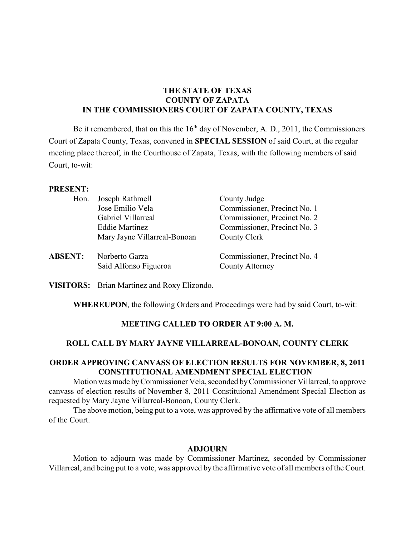# **THE STATE OF TEXAS COUNTY OF ZAPATA IN THE COMMISSIONERS COURT OF ZAPATA COUNTY, TEXAS**

Be it remembered, that on this the  $16<sup>th</sup>$  day of November, A. D., 2011, the Commissioners Court of Zapata County, Texas, convened in **SPECIAL SESSION** of said Court, at the regular meeting place thereof, in the Courthouse of Zapata, Texas, with the following members of said Court, to-wit:

#### **PRESENT:**

| Hon.           | Joseph Rathmell                         | County Judge                                           |
|----------------|-----------------------------------------|--------------------------------------------------------|
|                | Jose Emilio Vela                        | Commissioner, Precinct No. 1                           |
|                | Gabriel Villarreal                      | Commissioner, Precinct No. 2                           |
|                | <b>Eddie Martinez</b>                   | Commissioner, Precinct No. 3                           |
|                | Mary Jayne Villarreal-Bonoan            | County Clerk                                           |
| <b>ABSENT:</b> | Norberto Garza<br>Saíd Alfonso Figueroa | Commissioner, Precinct No. 4<br><b>County Attorney</b> |

**VISITORS:** Brian Martinez and Roxy Elizondo.

**WHEREUPON**, the following Orders and Proceedings were had by said Court, to-wit:

# **MEETING CALLED TO ORDER AT 9:00 A. M.**

### **ROLL CALL BY MARY JAYNE VILLARREAL-BONOAN, COUNTY CLERK**

# **ORDER APPROVING CANVASS OF ELECTION RESULTS FOR NOVEMBER, 8, 2011 CONSTITUTIONAL AMENDMENT SPECIAL ELECTION**

Motion was made byCommissioner Vela, seconded byCommissioner Villarreal, to approve canvass of election results of November 8, 2011 Constituional Amendment Special Election as requested by Mary Jayne Villarreal-Bonoan, County Clerk.

The above motion, being put to a vote, was approved by the affirmative vote of all members of the Court.

### **ADJOURN**

Motion to adjourn was made by Commissioner Martinez, seconded by Commissioner Villarreal, and being put to a vote, was approved by the affirmative vote of all members of the Court.